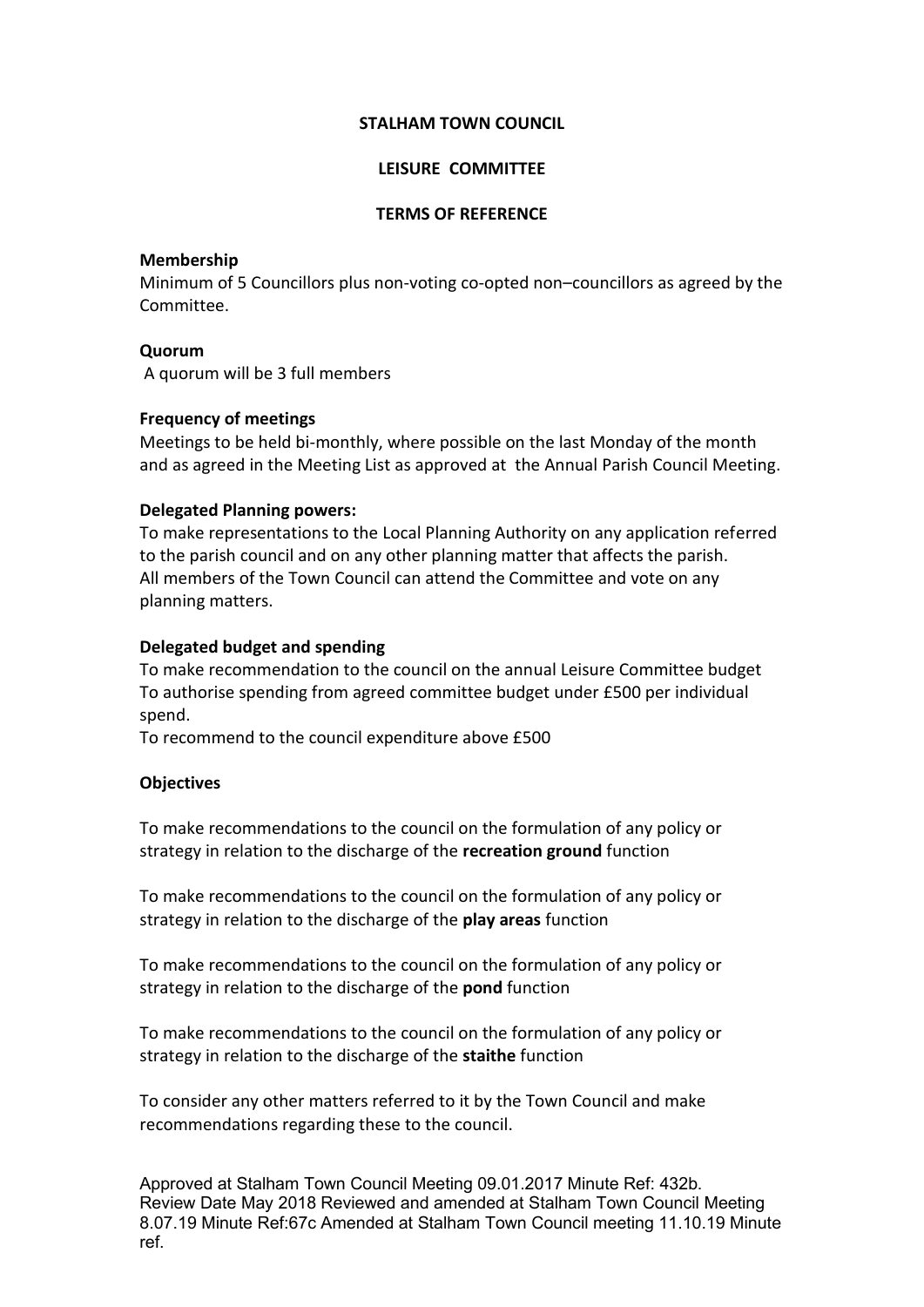#### **STALHAM TOWN COUNCIL**

## **LEISURE COMMITTEE**

### **TERMS OF REFERENCE**

## **Membership**

Minimum of 5 Councillors plus non-voting co-opted non–councillors as agreed by the Committee.

### **Quorum**

A quorum will be 3 full members

### **Frequency of meetings**

Meetings to be held bi-monthly, where possible on the last Monday of the month and as agreed in the Meeting List as approved at the Annual Parish Council Meeting.

### **Delegated Planning powers:**

To make representations to the Local Planning Authority on any application referred to the parish council and on any other planning matter that affects the parish. All members of the Town Council can attend the Committee and vote on any planning matters.

### **Delegated budget and spending**

To make recommendation to the council on the annual Leisure Committee budget To authorise spending from agreed committee budget under £500 per individual spend.

To recommend to the council expenditure above £500

# **Objectives**

To make recommendations to the council on the formulation of any policy or strategy in relation to the discharge of the **recreation ground** function

To make recommendations to the council on the formulation of any policy or strategy in relation to the discharge of the **play areas** function

To make recommendations to the council on the formulation of any policy or strategy in relation to the discharge of the **pond** function

To make recommendations to the council on the formulation of any policy or strategy in relation to the discharge of the **staithe** function

To consider any other matters referred to it by the Town Council and make recommendations regarding these to the council.

Approved at Stalham Town Council Meeting 09.01.2017 Minute Ref: 432b. Review Date May 2018 Reviewed and amended at Stalham Town Council Meeting 8.07.19 Minute Ref:67c Amended at Stalham Town Council meeting 11.10.19 Minute ref.